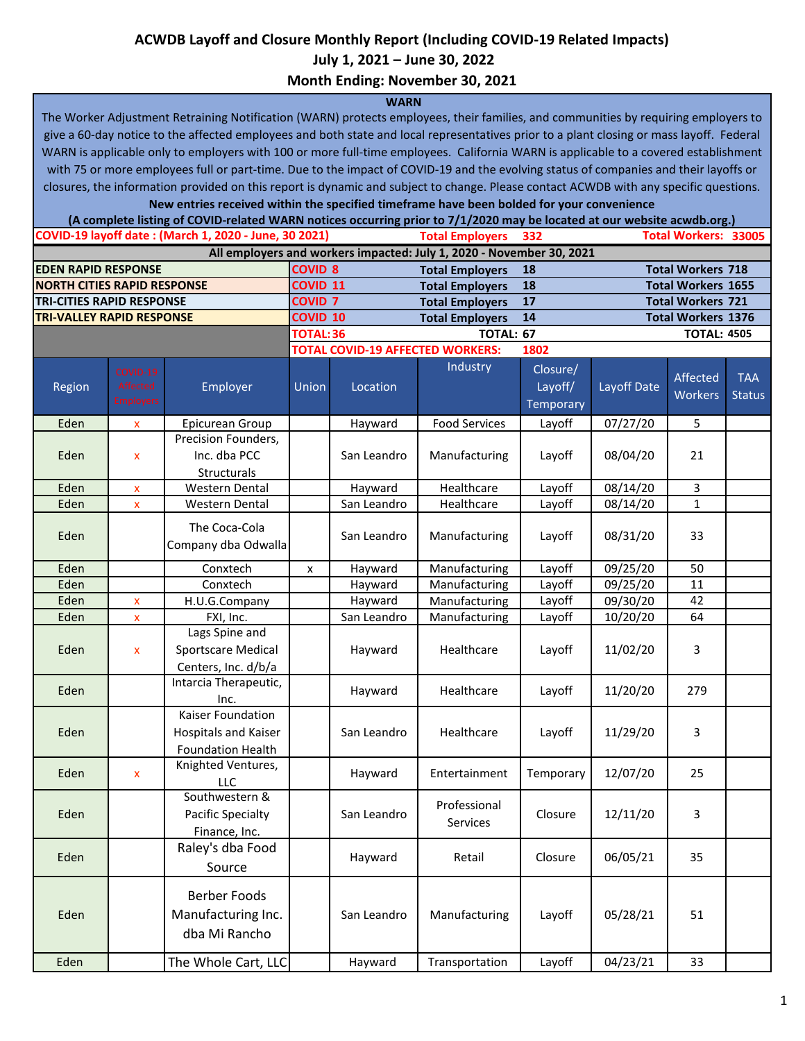## **ACWDB Layoff and Closure Monthly Report (Including COVID-19 Related Impacts)**

 **July 1, 2021 – June 30, 2022**

**Month Ending: November 30, 2021**

## **WARN**

The Worker Adjustment Retraining Notification (WARN) protects employees, their families, and communities by requiring employers to give a 60-day notice to the affected employees and both state and local representatives prior to a plant closing or mass layoff. Federal WARN is applicable only to employers with 100 or more full-time employees. California WARN is applicable to a covered establishment with 75 or more employees full or part-time. Due to the impact of COVID-19 and the evolving status of companies and their layoffs or closures, the information provided on this report is dynamic and subject to change. Please contact ACWDB with any specific questions.

**New entries received within the specified timeframe have been bolded for your convenience**

|                                                                      |                                          | (A complete listing of COVID-related WARN notices occurring prior to 7/1/2020 may be located at our website acwdb.org.) |                               |                                         |                              |                                         |                           |                     |                             |  |
|----------------------------------------------------------------------|------------------------------------------|-------------------------------------------------------------------------------------------------------------------------|-------------------------------|-----------------------------------------|------------------------------|-----------------------------------------|---------------------------|---------------------|-----------------------------|--|
|                                                                      |                                          | COVID-19 layoff date: (March 1, 2020 - June, 30 2021)                                                                   | <b>Total Employers</b><br>332 |                                         |                              | <b>Total Workers: 33005</b>             |                           |                     |                             |  |
| All employers and workers impacted: July 1, 2020 - November 30, 2021 |                                          |                                                                                                                         |                               |                                         |                              |                                         |                           |                     |                             |  |
| <b>EDEN RAPID RESPONSE</b>                                           |                                          |                                                                                                                         | <b>COVID 8</b>                |                                         | <b>Total Employers</b><br>18 |                                         | <b>Total Workers 718</b>  |                     |                             |  |
| <b>NORTH CITIES RAPID RESPONSE</b>                                   |                                          |                                                                                                                         | COVID <sub>11</sub>           |                                         | <b>Total Employers</b>       | 18                                      | <b>Total Workers 1655</b> |                     |                             |  |
| <b>TRI-CITIES RAPID RESPONSE</b>                                     |                                          |                                                                                                                         | COVID <sub>7</sub>            |                                         | <b>Total Employers</b>       | 17                                      | <b>Total Workers 721</b>  |                     |                             |  |
| <b>TRI-VALLEY RAPID RESPONSE</b>                                     |                                          |                                                                                                                         | <b>COVID 10</b>               |                                         | <b>Total Employers</b><br>14 |                                         | <b>Total Workers 1376</b> |                     |                             |  |
|                                                                      |                                          |                                                                                                                         | TOTAL: 36<br><b>TOTAL: 67</b> |                                         |                              | <b>TOTAL: 4505</b>                      |                           |                     |                             |  |
|                                                                      |                                          |                                                                                                                         |                               | <b>TOTAL COVID-19 AFFECTED WORKERS:</b> |                              | 1802                                    |                           |                     |                             |  |
| Region                                                               | COVID-19<br>Affected<br><b>Employers</b> | Employer                                                                                                                | Union                         | Location                                | Industry                     | Closure/<br>Layoff/<br><b>Temporary</b> | Layoff Date               | Affected<br>Workers | <b>TAA</b><br><b>Status</b> |  |
| Eden                                                                 | X                                        | Epicurean Group                                                                                                         |                               | Hayward                                 | <b>Food Services</b>         | Layoff                                  | 07/27/20                  | 5                   |                             |  |
| Eden                                                                 | x                                        | Precision Founders,<br>Inc. dba PCC<br>Structurals                                                                      |                               | San Leandro                             | Manufacturing                | Layoff                                  | 08/04/20                  | 21                  |                             |  |
| Eden                                                                 | x                                        | <b>Western Dental</b>                                                                                                   |                               | Hayward                                 | Healthcare                   | Layoff                                  | 08/14/20                  | 3                   |                             |  |
| Eden                                                                 | x                                        | Western Dental                                                                                                          |                               | San Leandro                             | Healthcare                   | Layoff                                  | $\frac{1}{08}{14}{20}$    | $\mathbf{1}$        |                             |  |
| Eden                                                                 |                                          | The Coca-Cola<br>Company dba Odwalla                                                                                    |                               | San Leandro                             | Manufacturing                | Layoff                                  | 08/31/20                  | 33                  |                             |  |
| Eden                                                                 |                                          | Conxtech                                                                                                                | x                             | Hayward                                 | Manufacturing                | Layoff                                  | 09/25/20                  | 50                  |                             |  |
| Eden                                                                 |                                          | Conxtech                                                                                                                |                               | Hayward                                 | Manufacturing                | Layoff                                  | 09/25/20                  | 11                  |                             |  |
| Eden                                                                 | $\pmb{\mathsf{x}}$                       | H.U.G.Company                                                                                                           |                               | Hayward                                 | Manufacturing                | Layoff                                  | 09/30/20                  | 42                  |                             |  |
| Eden                                                                 | X                                        | FXI, Inc.                                                                                                               |                               | San Leandro                             | Manufacturing                | Layoff                                  | 10/20/20                  | 64                  |                             |  |
| Eden                                                                 | X                                        | Lags Spine and<br>Sportscare Medical<br>Centers, Inc. d/b/a                                                             |                               | Hayward                                 | Healthcare                   | Layoff                                  | 11/02/20                  | 3                   |                             |  |
| Eden                                                                 |                                          | Intarcia Therapeutic,<br>Inc.                                                                                           |                               | Hayward                                 | Healthcare                   | Layoff                                  | 11/20/20                  | 279                 |                             |  |
| Eden                                                                 |                                          | Kaiser Foundation<br>Hospitals and Kaiser<br><b>Foundation Health</b>                                                   |                               | San Leandro                             | Healthcare                   | Layoff                                  | 11/29/20                  | 3                   |                             |  |
| Eden                                                                 | X                                        | Knighted Ventures,<br>LLC                                                                                               |                               | Hayward                                 | Entertainment                | Temporary                               | 12/07/20                  | 25                  |                             |  |
| Eden                                                                 |                                          | Southwestern &<br><b>Pacific Specialty</b><br>Finance, Inc.                                                             |                               | San Leandro                             | Professional<br>Services     | Closure                                 | 12/11/20                  | 3                   |                             |  |
| Eden                                                                 |                                          | Raley's dba Food<br>Source                                                                                              |                               | Hayward                                 | Retail                       | Closure                                 | 06/05/21                  | 35                  |                             |  |
| Eden                                                                 |                                          | <b>Berber Foods</b><br>Manufacturing Inc.<br>dba Mi Rancho                                                              |                               | San Leandro                             | Manufacturing                | Layoff                                  | 05/28/21                  | 51                  |                             |  |
| Eden                                                                 |                                          | The Whole Cart, LLC                                                                                                     |                               | Hayward                                 | Transportation               | Layoff                                  | 04/23/21                  | 33                  |                             |  |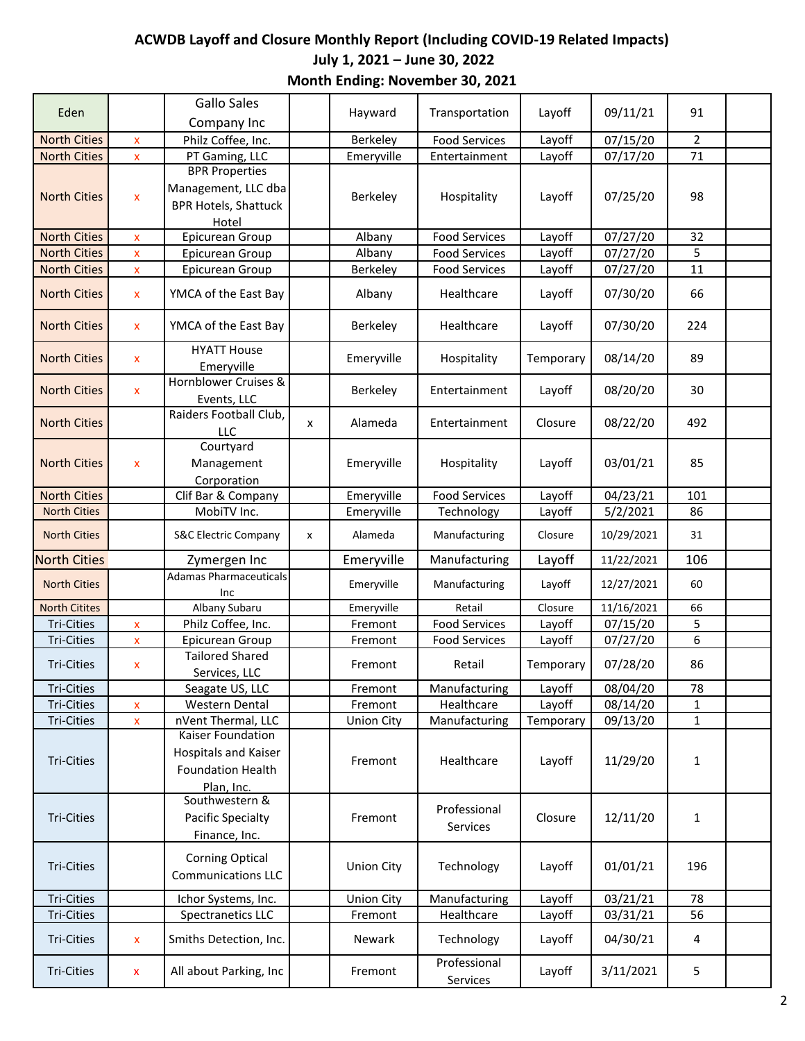## **ACWDB Layoff and Closure Monthly Report (Including COVID-19 Related Impacts) July 1, 2021 – June 30, 2022 Month Ending: November 30, 2021**

| Eden                 |                                    | <b>Gallo Sales</b><br>Company Inc                                                    |   | Hayward           | Transportation           | Layoff    | 09/11/21               | 91             |  |
|----------------------|------------------------------------|--------------------------------------------------------------------------------------|---|-------------------|--------------------------|-----------|------------------------|----------------|--|
| <b>North Cities</b>  |                                    | Philz Coffee, Inc.                                                                   |   | Berkeley          | <b>Food Services</b>     | Layoff    | 07/15/20               | $\overline{2}$ |  |
| <b>North Cities</b>  | $\mathsf{x}$<br>$\pmb{\mathsf{x}}$ | PT Gaming, LLC                                                                       |   | Emeryville        | Entertainment            | Layoff    | 07/17/20               | 71             |  |
| <b>North Cities</b>  | X                                  | <b>BPR Properties</b><br>Management, LLC dba<br><b>BPR Hotels, Shattuck</b><br>Hotel |   | Berkeley          | Hospitality              | Layoff    | 07/25/20               | 98             |  |
| <b>North Cities</b>  | $\pmb{\mathsf{x}}$                 | Epicurean Group                                                                      |   | Albany            | <b>Food Services</b>     | Layoff    | 07/27/20               | 32             |  |
| <b>North Cities</b>  | X                                  | Epicurean Group                                                                      |   | Albany            | <b>Food Services</b>     | Layoff    | $\frac{1}{07}{27}{20}$ | 5              |  |
| <b>North Cities</b>  | X                                  | Epicurean Group                                                                      |   | Berkeley          | <b>Food Services</b>     | Layoff    | 07/27/20               | 11             |  |
| <b>North Cities</b>  | X                                  | YMCA of the East Bay                                                                 |   | Albany            | Healthcare               | Layoff    | 07/30/20               | 66             |  |
| <b>North Cities</b>  | X                                  | YMCA of the East Bay                                                                 |   | Berkeley          | Healthcare               | Layoff    | 07/30/20               | 224            |  |
| <b>North Cities</b>  | $\mathsf{x}$                       | <b>HYATT</b> House<br>Emeryville                                                     |   | Emeryville        | Hospitality              | Temporary | 08/14/20               | 89             |  |
| <b>North Cities</b>  | $\mathsf{x}$                       | Hornblower Cruises &<br>Events, LLC                                                  |   | Berkeley          | Entertainment            | Layoff    | 08/20/20               | 30             |  |
| <b>North Cities</b>  |                                    | Raiders Football Club,<br><b>LLC</b>                                                 | x | Alameda           | Entertainment            | Closure   | 08/22/20               | 492            |  |
| <b>North Cities</b>  | $\mathsf{x}$                       | Courtyard<br>Management<br>Corporation                                               |   | Emeryville        | Hospitality              | Layoff    | 03/01/21               | 85             |  |
| <b>North Cities</b>  |                                    | Clif Bar & Company                                                                   |   | Emeryville        | <b>Food Services</b>     | Layoff    | 04/23/21               | 101            |  |
| <b>North Cities</b>  |                                    | MobiTV Inc.                                                                          |   | Emeryville        | Technology               | Layoff    | 5/2/2021               | 86             |  |
| <b>North Cities</b>  |                                    | <b>S&amp;C Electric Company</b>                                                      | x | Alameda           | Manufacturing            | Closure   | 10/29/2021             | 31             |  |
| <b>North Cities</b>  |                                    | Zymergen Inc                                                                         |   | Emeryville        | Manufacturing            | Layoff    | 11/22/2021             | 106            |  |
| <b>North Cities</b>  |                                    | <b>Adamas Pharmaceuticals</b><br>Inc                                                 |   | Emeryville        | Manufacturing            | Layoff    | 12/27/2021             | 60             |  |
| <b>North Citites</b> |                                    | Albany Subaru                                                                        |   | Emeryville        | Retail                   | Closure   | 11/16/2021             | 66             |  |
| Tri-Cities           | X                                  | Philz Coffee, Inc.                                                                   |   | Fremont           | <b>Food Services</b>     | Layoff    | 07/15/20               | 5              |  |
| <b>Tri-Cities</b>    | X                                  | Epicurean Group                                                                      |   | Fremont           | <b>Food Services</b>     | Layoff    | 07/27/20               | 6              |  |
| <b>Tri-Cities</b>    | X                                  | <b>Tailored Shared</b><br>Services, LLC                                              |   | Fremont           | Retail                   | Temporary | 07/28/20               | 86             |  |
| <b>Tri-Cities</b>    |                                    | Seagate US, LLC                                                                      |   | Fremont           | Manufacturing            | Layoff    | 08/04/20               | 78             |  |
| <b>Tri-Cities</b>    | $\mathbf x$                        | Western Dental                                                                       |   | Fremont           | Healthcare               | Layoff    | 08/14/20               | $\mathbf{1}$   |  |
| <b>Tri-Cities</b>    | $\pmb{\mathsf{X}}$                 | nVent Thermal, LLC                                                                   |   | <b>Union City</b> | Manufacturing            | Temporary | 09/13/20               | $\mathbf{1}$   |  |
| <b>Tri-Cities</b>    |                                    | Kaiser Foundation<br>Hospitals and Kaiser<br><b>Foundation Health</b><br>Plan, Inc.  |   | Fremont           | Healthcare               | Layoff    | 11/29/20               | $\mathbf{1}$   |  |
| <b>Tri-Cities</b>    |                                    | Southwestern &<br>Pacific Specialty<br>Finance, Inc.                                 |   | Fremont           | Professional<br>Services | Closure   | 12/11/20               | $\mathbf{1}$   |  |
| Tri-Cities           |                                    | <b>Corning Optical</b><br><b>Communications LLC</b>                                  |   | <b>Union City</b> | Technology               | Layoff    | 01/01/21               | 196            |  |
| <b>Tri-Cities</b>    |                                    | Ichor Systems, Inc.                                                                  |   | <b>Union City</b> | Manufacturing            | Layoff    | 03/21/21               | 78             |  |
| Tri-Cities           |                                    | Spectranetics LLC                                                                    |   | Fremont           | Healthcare               | Layoff    | 03/31/21               | 56             |  |
| <b>Tri-Cities</b>    | X                                  | Smiths Detection, Inc.                                                               |   | Newark            | Technology               | Layoff    | 04/30/21               | 4              |  |
| Tri-Cities           | $\pmb{\mathsf{x}}$                 | All about Parking, Inc                                                               |   | Fremont           | Professional<br>Services | Layoff    | 3/11/2021              | 5              |  |